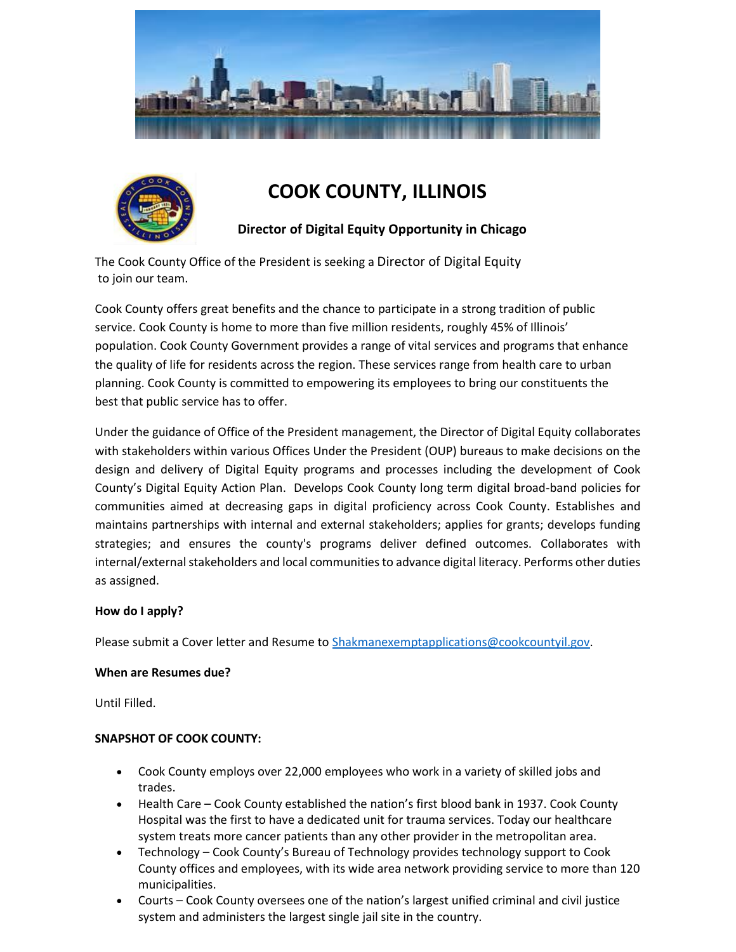



# **COOK COUNTY, ILLINOIS**

## **Director of Digital Equity Opportunity in Chicago**

The Cook County Office of the President is seeking a Director of Digital Equity to join our team.

Cook County offers great benefits and the chance to participate in a strong tradition of public service. Cook County is home to more than five million residents, roughly 45% of Illinois' population. Cook County Government provides a range of vital services and programs that enhance the quality of life for residents across the region. These services range from health care to urban planning. Cook County is committed to empowering its employees to bring our constituents the best that public service has to offer.

Under the guidance of Office of the President management, the Director of Digital Equity collaborates with stakeholders within various Offices Under the President (OUP) bureaus to make decisions on the design and delivery of Digital Equity programs and processes including the development of Cook County's Digital Equity Action Plan. Develops Cook County long term digital broad-band policies for communities aimed at decreasing gaps in digital proficiency across Cook County. Establishes and maintains partnerships with internal and external stakeholders; applies for grants; develops funding strategies; and ensures the county's programs deliver defined outcomes. Collaborates with internal/external stakeholders and local communities to advance digital literacy. Performs other duties as assigned.

## **How do I apply?**

Please submit a Cover letter and Resume to [Shakmanexemptapplications@cookcountyil.gov.](mailto:Shakmanexemptapplications@cookcountyil.gov)

## **When are Resumes due?**

Until Filled.

## **SNAPSHOT OF COOK COUNTY:**

- Cook County employs over 22,000 employees who work in a variety of skilled jobs and trades.
- Health Care Cook County established the nation's first blood bank in 1937. Cook County Hospital was the first to have a dedicated unit for trauma services. Today our healthcare system treats more cancer patients than any other provider in the metropolitan area.
- Technology Cook County's Bureau of Technology provides technology support to Cook County offices and employees, with its wide area network providing service to more than 120 municipalities.
- Courts Cook County oversees one of the nation's largest unified criminal and civil justice system and administers the largest single jail site in the country.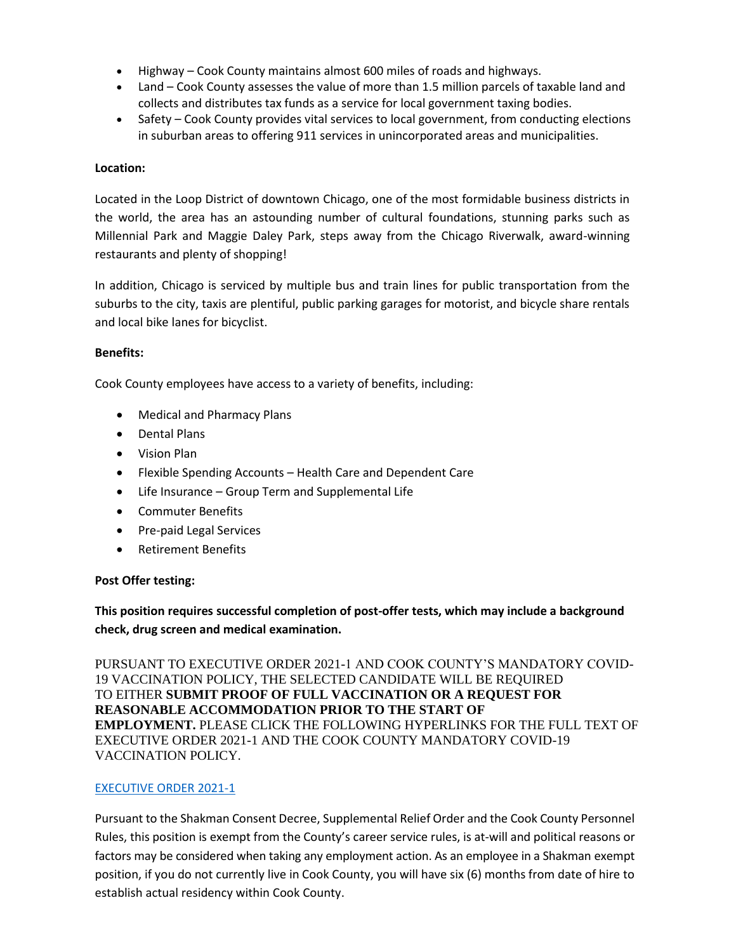- Highway Cook County maintains almost 600 miles of roads and highways.
- Land Cook County assesses the value of more than 1.5 million parcels of taxable land and collects and distributes tax funds as a service for local government taxing bodies.
- Safety Cook County provides vital services to local government, from conducting elections in suburban areas to offering 911 services in unincorporated areas and municipalities.

## **Location:**

Located in the Loop District of downtown Chicago, one of the most formidable business districts in the world, the area has an astounding number of cultural foundations, stunning parks such as Millennial Park and Maggie Daley Park, steps away from the Chicago Riverwalk, award-winning restaurants and plenty of shopping!

In addition, Chicago is serviced by multiple bus and train lines for public transportation from the suburbs to the city, taxis are plentiful, public parking garages for motorist, and bicycle share rentals and local bike lanes for bicyclist.

## **Benefits:**

Cook County employees have access to a variety of benefits, including:

- Medical and Pharmacy Plans
- Dental Plans
- Vision Plan
- Flexible Spending Accounts Health Care and Dependent Care
- Life Insurance Group Term and Supplemental Life
- Commuter Benefits
- Pre-paid Legal Services
- Retirement Benefits

## **Post Offer testing:**

**This position requires successful completion of post-offer tests, which may include a background check, drug screen and medical examination.**

PURSUANT TO EXECUTIVE ORDER 2021-1 AND COOK COUNTY'S MANDATORY COVID-19 VACCINATION POLICY, THE SELECTED CANDIDATE WILL BE REQUIRED TO EITHER **SUBMIT PROOF OF FULL VACCINATION OR A REQUEST FOR REASONABLE ACCOMMODATION PRIOR TO THE START OF EMPLOYMENT.** PLEASE CLICK THE FOLLOWING HYPERLINKS FOR THE FULL TEXT OF EXECUTIVE ORDER 2021-1 AND THE COOK COUNTY MANDATORY COVID-19 VACCINATION POLICY.

## [EXECUTIVE ORDER 2021-1](https://www.cookcountyil.gov/agency/office-president)

Pursuant to the Shakman Consent Decree, Supplemental Relief Order and the Cook County Personnel Rules, this position is exempt from the County's career service rules, is at-will and political reasons or factors may be considered when taking any employment action. As an employee in a Shakman exempt position, if you do not currently live in Cook County, you will have six (6) months from date of hire to establish actual residency within Cook County.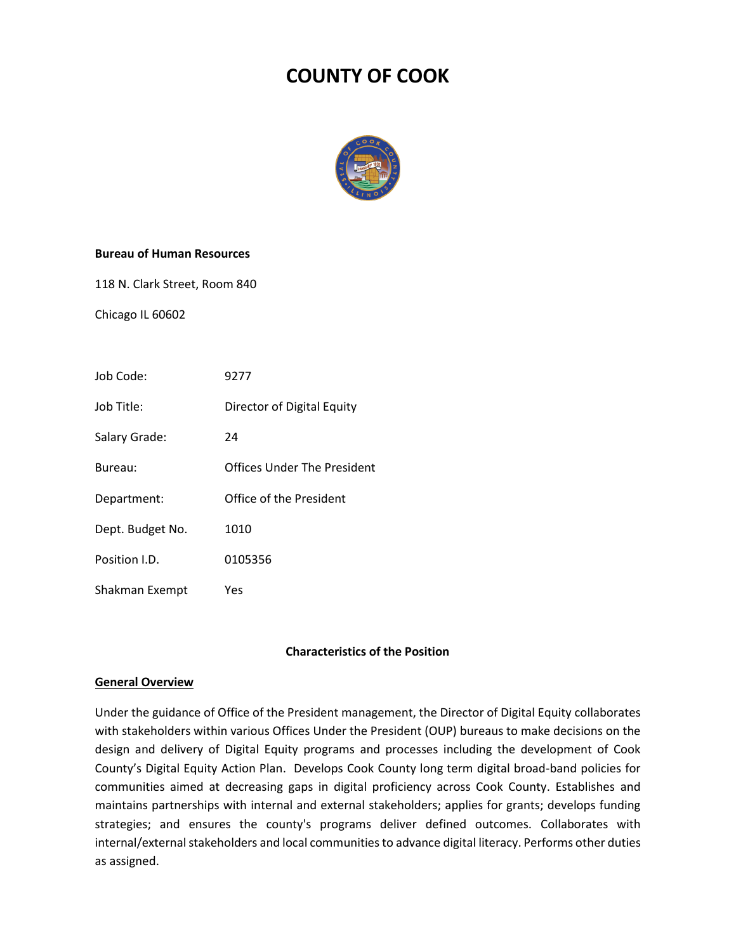## **COUNTY OF COOK**



#### **Bureau of Human Resources**

118 N. Clark Street, Room 840

Chicago IL 60602

| Job Code:        | 9277                        |
|------------------|-----------------------------|
| Job Title:       | Director of Digital Equity  |
| Salary Grade:    | 24                          |
| Bureau:          | Offices Under The President |
| Department:      | Office of the President     |
| Dept. Budget No. | 1010                        |
| Position I.D.    | 0105356                     |
| Shakman Exempt   | Yes                         |

## **Characteristics of the Position**

#### **General Overview**

Under the guidance of Office of the President management, the Director of Digital Equity collaborates with stakeholders within various Offices Under the President (OUP) bureaus to make decisions on the design and delivery of Digital Equity programs and processes including the development of Cook County's Digital Equity Action Plan. Develops Cook County long term digital broad-band policies for communities aimed at decreasing gaps in digital proficiency across Cook County. Establishes and maintains partnerships with internal and external stakeholders; applies for grants; develops funding strategies; and ensures the county's programs deliver defined outcomes. Collaborates with internal/external stakeholders and local communities to advance digital literacy. Performs other duties as assigned.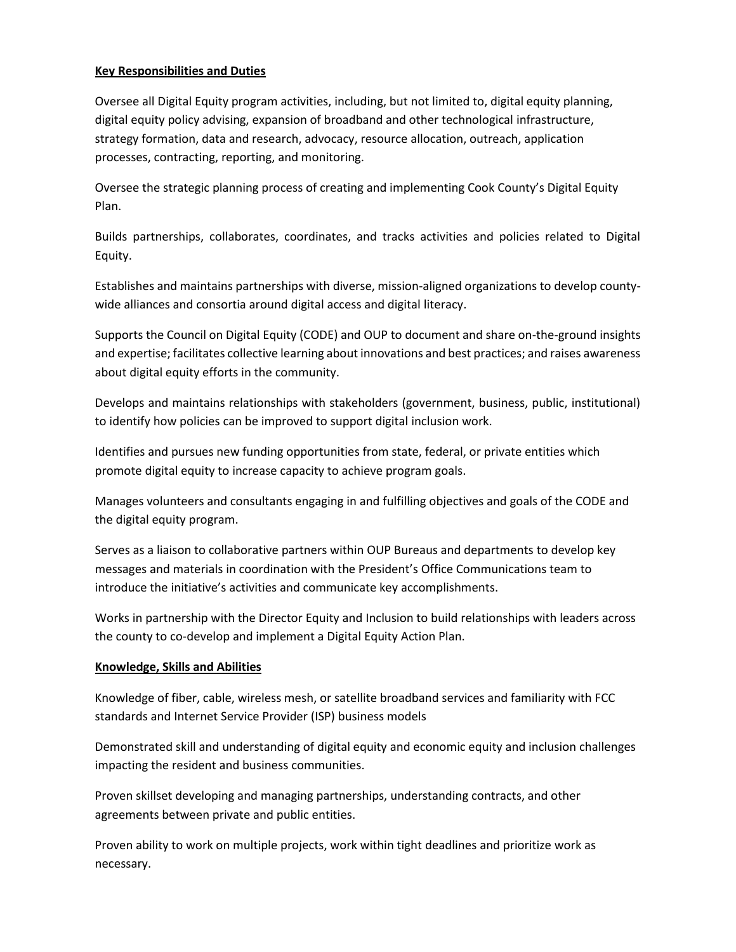## **Key Responsibilities and Duties**

Oversee all Digital Equity program activities, including, but not limited to, digital equity planning, digital equity policy advising, expansion of broadband and other technological infrastructure, strategy formation, data and research, advocacy, resource allocation, outreach, application processes, contracting, reporting, and monitoring.

Oversee the strategic planning process of creating and implementing Cook County's Digital Equity Plan.

Builds partnerships, collaborates, coordinates, and tracks activities and policies related to Digital Equity.

Establishes and maintains partnerships with diverse, mission-aligned organizations to develop countywide alliances and consortia around digital access and digital literacy.

Supports the Council on Digital Equity (CODE) and OUP to document and share on-the-ground insights and expertise; facilitates collective learning about innovations and best practices; and raises awareness about digital equity efforts in the community.

Develops and maintains relationships with stakeholders (government, business, public, institutional) to identify how policies can be improved to support digital inclusion work.

Identifies and pursues new funding opportunities from state, federal, or private entities which promote digital equity to increase capacity to achieve program goals.

Manages volunteers and consultants engaging in and fulfilling objectives and goals of the CODE and the digital equity program.

Serves as a liaison to collaborative partners within OUP Bureaus and departments to develop key messages and materials in coordination with the President's Office Communications team to introduce the initiative's activities and communicate key accomplishments.

Works in partnership with the Director Equity and Inclusion to build relationships with leaders across the county to co-develop and implement a Digital Equity Action Plan.

## **Knowledge, Skills and Abilities**

Knowledge of fiber, cable, wireless mesh, or satellite broadband services and familiarity with FCC standards and Internet Service Provider (ISP) business models

Demonstrated skill and understanding of digital equity and economic equity and inclusion challenges impacting the resident and business communities.

Proven skillset developing and managing partnerships, understanding contracts, and other agreements between private and public entities.

Proven ability to work on multiple projects, work within tight deadlines and prioritize work as necessary.